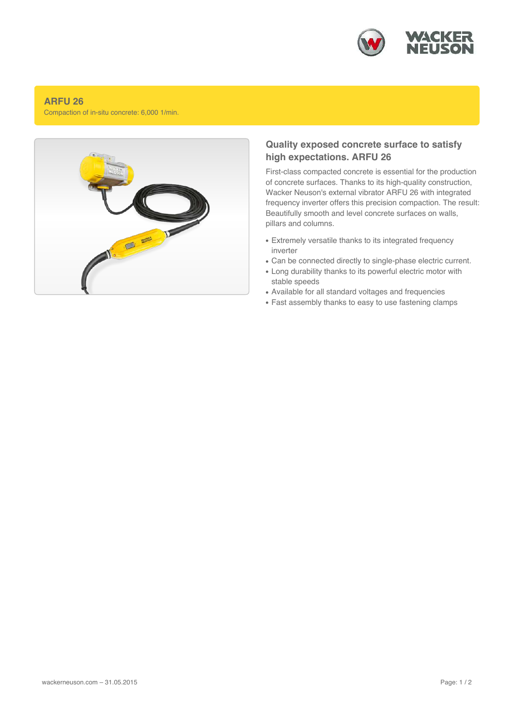

## **ARFU 26**

Compaction of in-situ concrete: 6,000 1/min.



## **Quality exposed concrete surface to satisfy high expectations. ARFU 26**

First-class compacted concrete is essential for the production of concrete surfaces. Thanks to its high-quality construction, Wacker Neuson's external vibrator ARFU 26 with integrated frequency inverter offers this precision compaction. The result: Beautifully smooth and level concrete surfaces on walls, pillars and columns.

- Extremely versatile thanks to its integrated frequency inverter
- Can be connected directly to single-phase electric current.
- Long durability thanks to its powerful electric motor with stable speeds
- Available for all standard voltages and frequencies
- Fast assembly thanks to easy to use fastening clamps